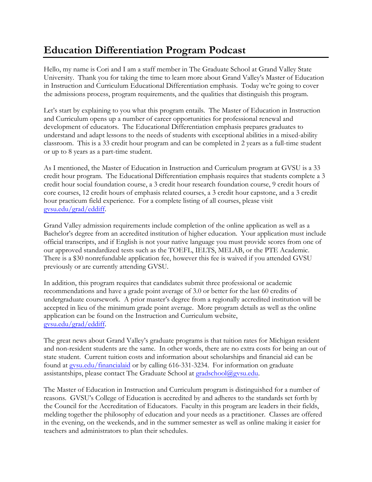## **Education Differentiation Program Podcast**

Hello, my name is Cori and I am a staff member in The Graduate School at Grand Valley State University. Thank you for taking the time to learn more about Grand Valley's Master of Education in Instruction and Curriculum Educational Differentiation emphasis. Today we're going to cover the admissions process, program requirements, and the qualities that distinguish this program.

Let's start by explaining to you what this program entails. The Master of Education in Instruction and Curriculum opens up a number of career opportunities for professional renewal and development of educators. The Educational Differentiation emphasis prepares graduates to understand and adapt lessons to the needs of students with exceptional abilities in a mixed-ability classroom. This is a 33 credit hour program and can be completed in 2 years as a full-time student or up to 8 years as a part-time student.

As I mentioned, the Master of Education in Instruction and Curriculum program at GVSU is a 33 credit hour program. The Educational Differentiation emphasis requires that students complete a 3 credit hour social foundation course, a 3 credit hour research foundation course, 9 credit hours of core courses, 12 credit hours of emphasis related courses, a 3 credit hour capstone, and a 3 credit hour practicum field experience. For a complete listing of all courses, please visit [gvsu.edu/grad/](http://www.gvsu.edu/grad/instruction)eddiff.

Grand Valley admission requirements include completion of the online application as well as a Bachelor's degree from an accredited institution of higher education. Your application must include official transcripts, and if English is not your native language you must provide scores from one of our approved standardized tests such as the TOEFL, IELTS, MELAB, or the PTE Academic. There is a \$30 nonrefundable application fee, however this fee is waived if you attended GVSU previously or are currently attending GVSU.

In addition, this program requires that candidates submit three professional or academic recommendations and have a grade point average of 3.0 or better for the last 60 credits of undergraduate coursework. A prior master's degree from a regionally accredited institution will be accepted in lieu of the minimum grade point average. More program details as well as the online application can be found on the Instruction and Curriculum website, [gvsu.edu/grad/eddiff](http://www.gvsu.edu/grad/instruction).

The great news about Grand Valley's graduate programs is that tuition rates for Michigan resident and non-resident students are the same. In other words, there are no extra costs for being an out of state student. Current tuition costs and information about scholarships and financial aid can be found at [gvsu.edu/financialaid](http://www.gvsu.edu/financialaid) or by calling 616-331-3234. For information on graduate assistantships, please contact The Graduate School at [gradschool@gvsu.edu.](mailto:gradschool@gvsu.edu)

The Master of Education in Instruction and Curriculum program is distinguished for a number of reasons. GVSU's College of Education is accredited by and adheres to the standards set forth by the Council for the Accreditation of Educators. Faculty in this program are leaders in their fields, melding together the philosophy of education and your needs as a practitioner. Classes are offered in the evening, on the weekends, and in the summer semester as well as online making it easier for teachers and administrators to plan their schedules.